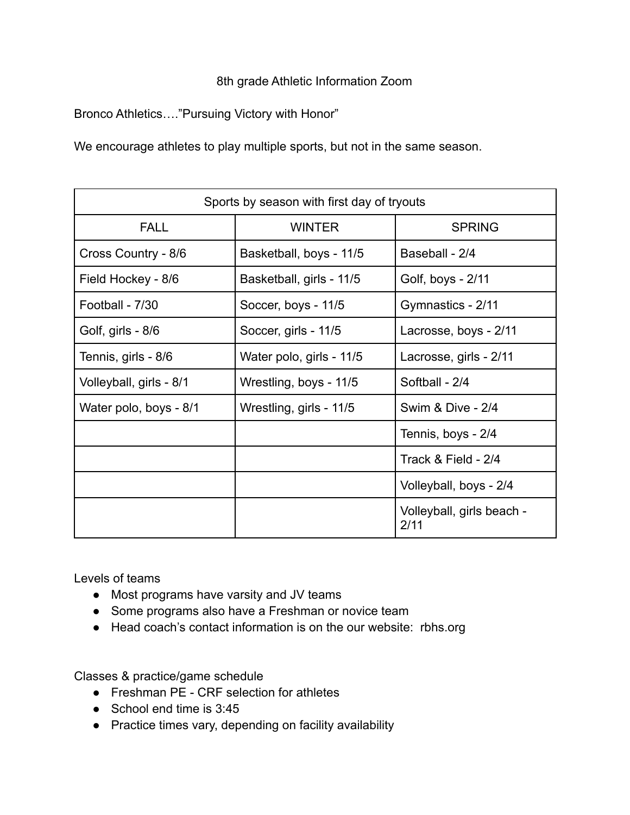## 8th grade Athletic Information Zoom

Bronco Athletics…."Pursuing Victory with Honor"

We encourage athletes to play multiple sports, but not in the same season.

| Sports by season with first day of tryouts |                          |                                   |
|--------------------------------------------|--------------------------|-----------------------------------|
| <b>FALL</b>                                | <b>WINTER</b>            | <b>SPRING</b>                     |
| Cross Country - 8/6                        | Basketball, boys - 11/5  | Baseball - 2/4                    |
| Field Hockey - 8/6                         | Basketball, girls - 11/5 | Golf, boys - 2/11                 |
| Football - 7/30                            | Soccer, boys - 11/5      | Gymnastics - 2/11                 |
| Golf, girls - 8/6                          | Soccer, girls - 11/5     | Lacrosse, boys - 2/11             |
| Tennis, girls - 8/6                        | Water polo, girls - 11/5 | Lacrosse, girls - 2/11            |
| Volleyball, girls - 8/1                    | Wrestling, boys - 11/5   | Softball - 2/4                    |
| Water polo, boys - 8/1                     | Wrestling, girls - 11/5  | Swim & Dive - 2/4                 |
|                                            |                          | Tennis, boys - 2/4                |
|                                            |                          | Track & Field - 2/4               |
|                                            |                          | Volleyball, boys - 2/4            |
|                                            |                          | Volleyball, girls beach -<br>2/11 |

Levels of teams

- Most programs have varsity and JV teams
- Some programs also have a Freshman or novice team
- Head coach's contact information is on the our website: rbhs.org

Classes & practice/game schedule

- Freshman PE CRF selection for athletes
- School end time is 3:45
- Practice times vary, depending on facility availability